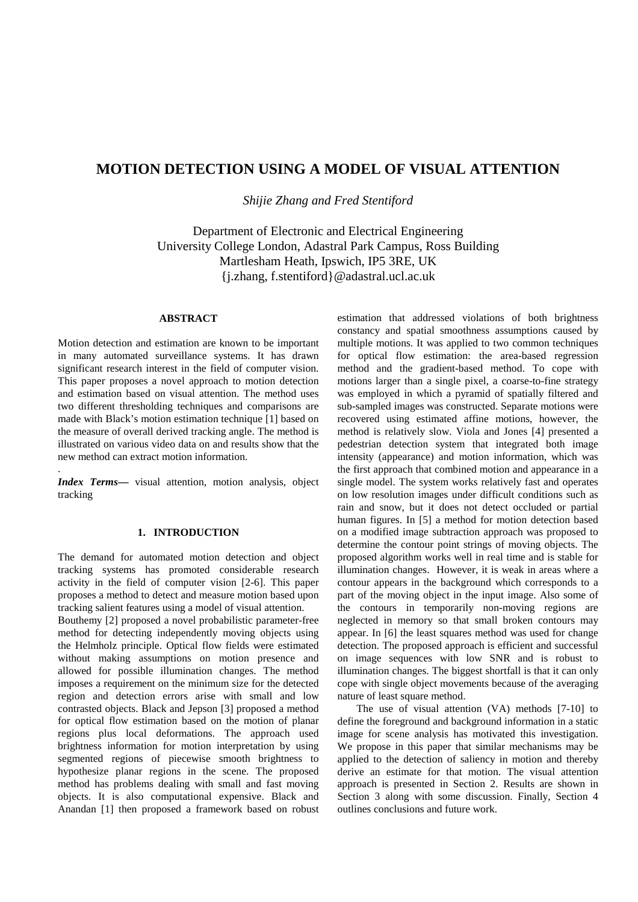# **MOTION DETECTION USING A MODEL OF VISUAL ATTENTION**

*Shijie Zhang and Fred Stentiford* 

Department of Electronic and Electrical Engineering University College London, Adastral Park Campus, Ross Building Martlesham Heath, Ipswich, IP5 3RE, UK {j.zhang, f.stentiford}@adastral.ucl.ac.uk

### **ABSTRACT**

Motion detection and estimation are known to be important in many automated surveillance systems. It has drawn significant research interest in the field of computer vision. This paper proposes a novel approach to motion detection and estimation based on visual attention. The method uses two different thresholding techniques and comparisons are made with Black's motion estimation technique [1] based on the measure of overall derived tracking angle. The method is illustrated on various video data on and results show that the new method can extract motion information.

*Index Terms*— visual attention, motion analysis, object tracking

.

# **1. INTRODUCTION**

The demand for automated motion detection and object tracking systems has promoted considerable research activity in the field of computer vision [2-6]. This paper proposes a method to detect and measure motion based upon tracking salient features using a model of visual attention.

Bouthemy [2] proposed a novel probabilistic parameter-free method for detecting independently moving objects using the Helmholz principle. Optical flow fields were estimated without making assumptions on motion presence and allowed for possible illumination changes. The method imposes a requirement on the minimum size for the detected region and detection errors arise with small and low contrasted objects. Black and Jepson [3] proposed a method for optical flow estimation based on the motion of planar regions plus local deformations. The approach used brightness information for motion interpretation by using segmented regions of piecewise smooth brightness to hypothesize planar regions in the scene. The proposed method has problems dealing with small and fast moving objects. It is also computational expensive. Black and Anandan [1] then proposed a framework based on robust

estimation that addressed violations of both brightness constancy and spatial smoothness assumptions caused by multiple motions. It was applied to two common techniques for optical flow estimation: the area-based regression method and the gradient-based method. To cope with motions larger than a single pixel, a coarse-to-fine strategy was employed in which a pyramid of spatially filtered and sub-sampled images was constructed. Separate motions were recovered using estimated affine motions, however, the method is relatively slow. Viola and Jones [4] presented a pedestrian detection system that integrated both image intensity (appearance) and motion information, which was the first approach that combined motion and appearance in a single model. The system works relatively fast and operates on low resolution images under difficult conditions such as rain and snow, but it does not detect occluded or partial human figures. In [5] a method for motion detection based on a modified image subtraction approach was proposed to determine the contour point strings of moving objects. The proposed algorithm works well in real time and is stable for illumination changes. However, it is weak in areas where a contour appears in the background which corresponds to a part of the moving object in the input image. Also some of the contours in temporarily non-moving regions are neglected in memory so that small broken contours may appear. In [6] the least squares method was used for change detection. The proposed approach is efficient and successful on image sequences with low SNR and is robust to illumination changes. The biggest shortfall is that it can only cope with single object movements because of the averaging nature of least square method.

The use of visual attention (VA) methods [7-10] to define the foreground and background information in a static image for scene analysis has motivated this investigation. We propose in this paper that similar mechanisms may be applied to the detection of saliency in motion and thereby derive an estimate for that motion. The visual attention approach is presented in Section 2. Results are shown in Section 3 along with some discussion. Finally, Section 4 outlines conclusions and future work.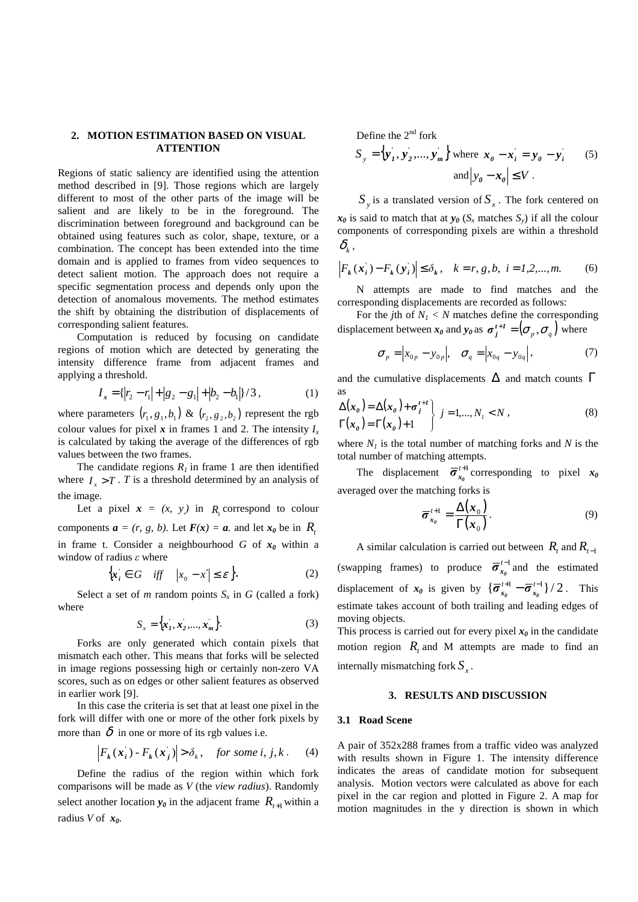# **2. MOTION ESTIMATION BASED ON VISUAL ATTENTION**

Regions of static saliency are identified using the attention method described in [9]. Those regions which are largely different to most of the other parts of the image will be salient and are likely to be in the foreground. The discrimination between foreground and background can be obtained using features such as color, shape, texture, or a combination. The concept has been extended into the time domain and is applied to frames from video sequences to detect salient motion. The approach does not require a specific segmentation process and depends only upon the detection of anomalous movements. The method estimates the shift by obtaining the distribution of displacements of corresponding salient features.

Computation is reduced by focusing on candidate regions of motion which are detected by generating the intensity difference frame from adjacent frames and applying a threshold.

$$
I_x = \{ |r_2 - r_1| + |g_2 - g_1| + |b_2 - b_1| \}/3 , \tag{1}
$$

where parameters  $(r_1, g_1, b_1) \& (r_2, g_2, b_2)$  represent the rgb colour values for pixel x in frames 1 and 2. The intensity  $I<sub>x</sub>$ is calculated by taking the average of the differences of rgb values between the two frames.

The candidate regions  $R<sub>l</sub>$  in frame 1 are then identified where  $I_x > T$ . *T* is a threshold determined by an analysis of the image.

Let a pixel  $x = (x, y)$  in  $R<sub>t</sub>$  correspond to colour components  $a = (r, g, b)$ . Let  $F(x) = a$ , and let  $x_0$  be in  $R_t$ in frame t. Consider a neighbourhood *G* of  $x_0$  within a window of radius  $\varepsilon$  where

$$
\left\{ x_i \in G \quad \text{iff} \quad \left| x_0 - x' \right| \le \varepsilon \right\}. \tag{2}
$$

Select a set of *m* random points  $S_x$  in  $G$  (called a fork) where

$$
S_x = \{x_1, x_2, ..., x_m'\}.
$$
 (3)

Forks are only generated which contain pixels that mismatch each other. This means that forks will be selected in image regions possessing high or certainly non-zero VA scores, such as on edges or other salient features as observed in earlier work [9].

In this case the criteria is set that at least one pixel in the fork will differ with one or more of the other fork pixels by more than  $\delta$  in one or more of its rgb values i.e.

$$
\left| F_k(\mathbf{x}_i') - F_k(\mathbf{x}_j') \right| > \delta_k, \quad \text{for some } i, j, k. \tag{4}
$$

Define the radius of the region within which fork comparisons will be made as *V* (the *view radius*). Randomly select another location  $y_0$  in the adjacent frame  $R_{t+1}$  within a radius *V* of  $x_0$ .

Define the  $2<sup>nd</sup>$  fork

$$
S_{y} = {\mathbf{y}'_{1}, \mathbf{y}'_{2}, ..., \mathbf{y}'_{m}}
$$
 where  $\mathbf{x}_{0} - \mathbf{x}'_{i} = \mathbf{y}_{0} - \mathbf{y}'_{i}$  (5)  
and  $|\mathbf{y}_{0} - \mathbf{x}_{0}| \leq V$ .

 $S_y$  is a translated version of  $S_x$ . The fork centered on  $x_0$  is said to match that at  $y_0$  ( $S_x$  matches  $S_y$ ) if all the colour components of corresponding pixels are within a threshold  $\delta_{\scriptscriptstyle k}^{\phantom{\dag}},$ 

$$
\left| F_k(x_i^{'}) - F_k(y_i^{'}) \right| \le \delta_k, \quad k = r, g, b, \ i = 1, 2, ..., m. \tag{6}
$$

N attempts are made to find matches and the corresponding displacements are recorded as follows:

For the *j*th of  $N<sub>1</sub> < N$  matches define the corresponding displacement between  $x_0$  and  $y_0$  as  $\sigma_j^{t+1} = (\sigma_p, \sigma_q)$  where

$$
\sigma_p = |x_{0p} - y_{0p}|, \quad \sigma_q = |x_{0q} - y_{0q}|,
$$
 (7)

and the cumulative displacements  $\Delta$  and match counts  $\Gamma$ as

$$
\Delta(\mathbf{x}_o) = \Delta(\mathbf{x}_o) + \sigma_j^{t+1} \left\{ j = 1, ..., N_l < N ,\n\Gamma(\mathbf{x}_o) = \Gamma(\mathbf{x}_o) + 1 \right\} \quad (8)
$$

where  $N_I$  is the total number of matching forks and  $N$  is the total number of matching attempts.

The displacement  $\overline{\sigma}_{x_0}^{t+1}$  corresponding to pixel  $x_0$ averaged over the matching forks is

$$
\overline{\sigma}_{x_{\theta}}^{\prime+1} = \frac{\Delta(x_0)}{\Gamma(x_0)}.
$$
\n(9)

A similar calculation is carried out between  $R_t$  and  $R_{t-1}$ 

(swapping frames) to produce  $\overline{\sigma}_{x_0}^{t-1}$  and the estimated displacement of  $x_0$  is given by  $\{\overline{\sigma}_{x_0}^{t+1} - \overline{\sigma}_{x_0}^{t-1}\}/2$  $\overline{\sigma}_{x_0}^{t+1}$  –  $\overline{\sigma}_{x_0}^{t-1}$  } / 2. This estimate takes account of both trailing and leading edges of moving objects.

This process is carried out for every pixel  $x_0$  in the candidate motion region  $R_t$  and M attempts are made to find an internally mismatching fork *<sup>x</sup> S* .

#### **3. RESULTS AND DISCUSSION**

# **3.1 Road Scene**

A pair of 352x288 frames from a traffic video was analyzed with results shown in Figure 1. The intensity difference indicates the areas of candidate motion for subsequent analysis. Motion vectors were calculated as above for each pixel in the car region and plotted in Figure 2. A map for motion magnitudes in the y direction is shown in which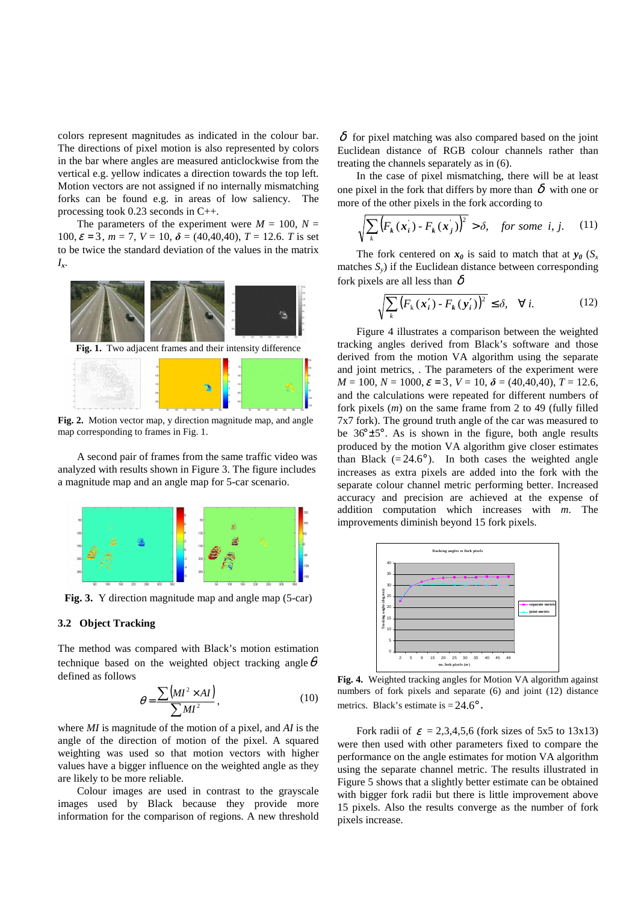colors represent magnitudes as indicated in the colour bar. The directions of pixel motion is also represented by colors in the bar where angles are measured anticlockwise from the vertical e.g. yellow indicates a direction towards the top left. Motion vectors are not assigned if no internally mismatching forks can be found e.g. in areas of low saliency. The processing took 0.23 seconds in C++.

The parameters of the experiment were  $M = 100$ ,  $N =$  $100, \varepsilon = 3, m = 7, V = 10, \delta = (40, 40, 40), T = 12.6$ . *T* is set to be twice the standard deviation of the values in the matrix *Ix*.



**Fig. 2.** Motion vector map, y direction magnitude map, and angle map corresponding to frames in Fig. 1.

A second pair of frames from the same traffic video was analyzed with results shown in Figure 3. The figure includes a magnitude map and an angle map for 5-car scenario.



**Fig. 3.** Y direction magnitude map and angle map (5-car)

### **3.2 Object Tracking**

The method was compared with Black's motion estimation technique based on the weighted object tracking angle  $\theta$ defined as follows

$$
\theta = \frac{\sum (MI^2 \times AI)}{\sum MI^2},\tag{10}
$$

where *MI* is magnitude of the motion of a pixel, and *AI* is the angle of the direction of motion of the pixel. A squared weighting was used so that motion vectors with higher values have a bigger influence on the weighted angle as they are likely to be more reliable.

Colour images are used in contrast to the grayscale images used by Black because they provide more information for the comparison of regions. A new threshold

 $\delta$  for pixel matching was also compared based on the joint Euclidean distance of RGB colour channels rather than treating the channels separately as in (6).

In the case of pixel mismatching, there will be at least one pixel in the fork that differs by more than  $\delta$  with one or more of the other pixels in the fork according to

$$
\sqrt{\sum_{k} \left( F_k \left( \mathbf{x}_i \right) - F_k \left( \mathbf{x}_j \right) \right)^2} > \delta, \quad \text{for some } i, j. \tag{11}
$$

The fork centered on  $x_0$  is said to match that at  $y_0$  ( $S_x$ matches *Sy*) if the Euclidean distance between corresponding fork pixels are all less than  $\delta$ 

$$
\sqrt{\sum_{k} \left( F_{k}(\mathbf{x}'_{i}) - F_{k}(\mathbf{y}'_{i}) \right)^{2}} \leq \delta, \quad \forall i.
$$
 (12)

Figure 4 illustrates a comparison between the weighted tracking angles derived from Black's software and those derived from the motion VA algorithm using the separate and joint metrics, . The parameters of the experiment were  $M = 100, N = 1000, \varepsilon = 3, V = 10, \delta = (40, 40, 40), T = 12.6,$ and the calculations were repeated for different numbers of fork pixels (*m*) on the same frame from 2 to 49 (fully filled 7x7 fork). The ground truth angle of the car was measured to be  $36^{\circ} \pm 5^{\circ}$ . As is shown in the figure, both angle results produced by the motion VA algorithm give closer estimates than Black  $(=24.6^{\circ})$ . In both cases the weighted angle increases as extra pixels are added into the fork with the separate colour channel metric performing better. Increased accuracy and precision are achieved at the expense of addition computation which increases with *m*. The improvements diminish beyond 15 fork pixels.



**Fig. 4.** Weighted tracking angles for Motion VA algorithm against numbers of fork pixels and separate (6) and joint (12) distance metrics. Black's estimate is  $= 24.6^{\circ}$ .

Fork radii of  $\varepsilon = 2,3,4,5,6$  (fork sizes of 5x5 to 13x13) were then used with other parameters fixed to compare the performance on the angle estimates for motion VA algorithm using the separate channel metric. The results illustrated in Figure 5 shows that a slightly better estimate can be obtained with bigger fork radii but there is little improvement above 15 pixels. Also the results converge as the number of fork pixels increase.